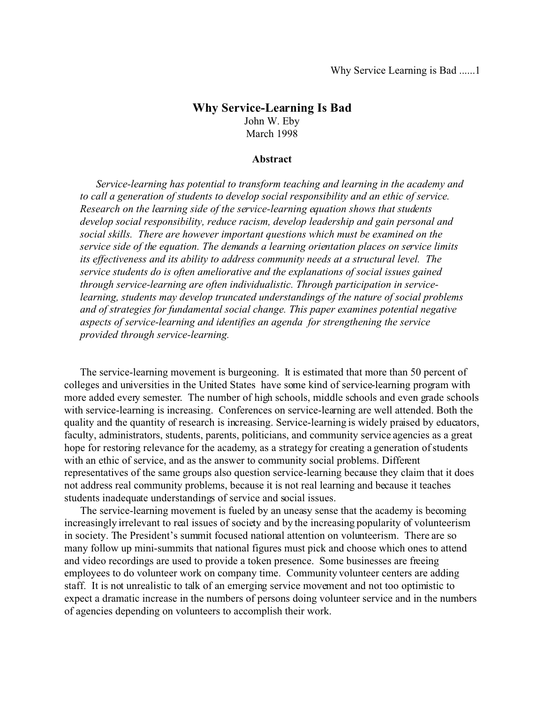# **Why Service-Learning Is Bad** John W. Eby March 1998

#### **Abstract**

*Service-learning has potential to transform teaching and learning in the academy and to call a generation of students to develop social responsibility and an ethic of service. Research on the learning side of the service-learning equation shows that students develop social responsibility, reduce racism, develop leadership and gain personal and social skills. There are however important questions which must be examined on the service side of the equation. The demands a learning orientation places on service limits its effectiveness and its ability to address community needs at a structural level. The service students do is often ameliorative and the explanations of social issues gained through service-learning are often individualistic. Through participation in servicelearning, students may develop truncated understandings of the nature of social problems and of strategies for fundamental social change. This paper examines potential negative aspects of service-learning and identifies an agenda for strengthening the service provided through service-learning.*

The service-learning movement is burgeoning. It is estimated that more than 50 percent of colleges and universities in the United States have some kind of service-learning program with more added every semester. The number of high schools, middle schools and even grade schools with service-learning is increasing. Conferences on service-learning are well attended. Both the quality and the quantity of research is increasing. Service-learning is widely praised by educators, faculty, administrators, students, parents, politicians, and community service agencies as a great hope for restoring relevance for the academy, as a strategy for creating a generation of students with an ethic of service, and as the answer to community social problems. Different representatives of the same groups also question service-learning because they claim that it does not address real community problems, because it is not real learning and because it teaches students inadequate understandings of service and social issues.

The service-learning movement is fueled by an uneasy sense that the academy is becoming increasingly irrelevant to real issues of society and by the increasing popularity of volunteerism in society. The President's summit focused national attention on volunteerism. There are so many follow up mini-summits that national figures must pick and choose which ones to attend and video recordings are used to provide a token presence. Some businesses are freeing employees to do volunteer work on company time. Community volunteer centers are adding staff. It is not unrealistic to talk of an emerging service movement and not too optimistic to expect a dramatic increase in the numbers of persons doing volunteer service and in the numbers of agencies depending on volunteers to accomplish their work.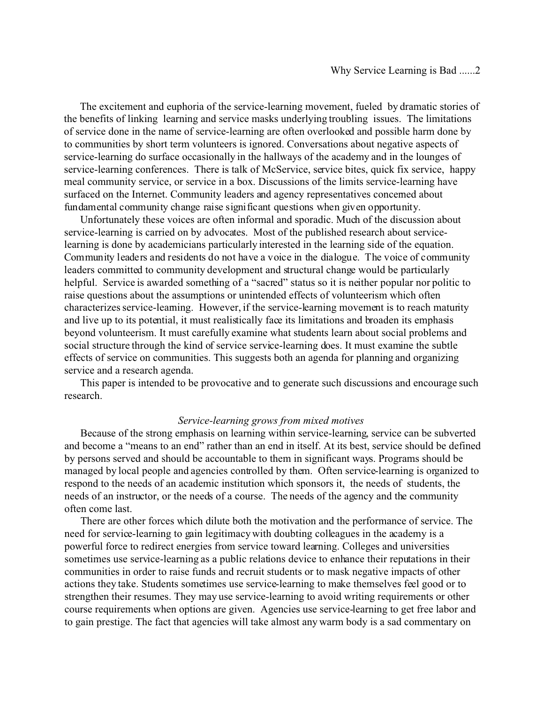The excitement and euphoria of the service-learning movement, fueled by dramatic stories of the benefits of linking learning and service masks underlying troubling issues. The limitations of service done in the name of service-learning are often overlooked and possible harm done by to communities by short term volunteers is ignored. Conversations about negative aspects of service-learning do surface occasionally in the hallways of the academy and in the lounges of service-learning conferences. There is talk of McService, service bites, quick fix service, happy meal community service, or service in a box. Discussions of the limits service-learning have surfaced on the Internet. Community leaders and agency representatives concerned about fundamental community change raise significant questions when given opportunity.

Unfortunately these voices are often informal and sporadic. Much of the discussion about service-learning is carried on by advocates. Most of the published research about servicelearning is done by academicians particularly interested in the learning side of the equation. Community leaders and residents do not have a voice in the dialogue. The voice of community leaders committed to community development and structural change would be particularly helpful. Service is awarded something of a "sacred" status so it is neither popular nor politic to raise questions about the assumptions or unintended effects of volunteerism which often characterizes service-learning. However, if the service-learning movement is to reach maturity and live up to its potential, it must realistically face its limitations and broaden its emphasis beyond volunteerism. It must carefully examine what students learn about social problems and social structure through the kind of service service-learning does. It must examine the subtle effects of service on communities. This suggests both an agenda for planning and organizing service and a research agenda.

This paper is intended to be provocative and to generate such discussions and encourage such research.

## *Service-learning grows from mixed motives*

Because of the strong emphasis on learning within service-learning, service can be subverted and become a "means to an end" rather than an end in itself. At its best, service should be defined by persons served and should be accountable to them in significant ways. Programs should be managed by local people and agencies controlled by them. Often service-learning is organized to respond to the needs of an academic institution which sponsors it, the needs of students, the needs of an instructor, or the needs of a course. The needs of the agency and the community often come last.

There are other forces which dilute both the motivation and the performance of service. The need for service-learning to gain legitimacy with doubting colleagues in the academy is a powerful force to redirect energies from service toward learning. Colleges and universities sometimes use service-learning as a public relations device to enhance their reputations in their communities in order to raise funds and recruit students or to mask negative impacts of other actions they take. Students sometimes use service-learning to make themselves feel good or to strengthen their resumes. They may use service-learning to avoid writing requirements or other course requirements when options are given. Agencies use service-learning to get free labor and to gain prestige. The fact that agencies will take almost any warm body is a sad commentary on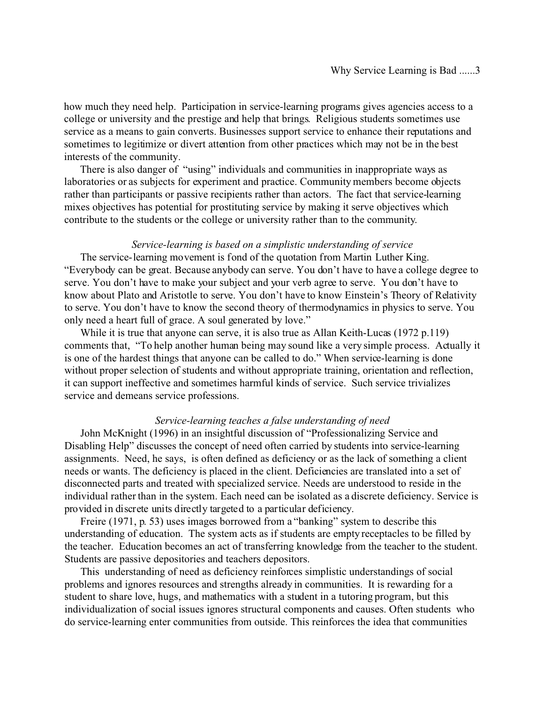how much they need help. Participation in service-learning programs gives agencies access to a college or university and the prestige and help that brings. Religious students sometimes use service as a means to gain converts. Businesses support service to enhance their reputations and sometimes to legitimize or divert attention from other practices which may not be in the best interests of the community.

There is also danger of "using" individuals and communities in inappropriate ways as laboratories or as subjects for experiment and practice. Community members become objects rather than participants or passive recipients rather than actors. The fact that service-learning mixes objectives has potential for prostituting service by making it serve objectives which contribute to the students or the college or university rather than to the community.

### *Service-learning is based on a simplistic understanding of service*

The service-learning movement is fond of the quotation from Martin Luther King. "Everybody can be great. Because anybody can serve. You don't have to have a college degree to serve. You don't have to make your subject and your verb agree to serve. You don't have to know about Plato and Aristotle to serve. You don't have to know Einstein's Theory of Relativity to serve. You don't have to know the second theory of thermodynamics in physics to serve. You only need a heart full of grace. A soul generated by love."

While it is true that anyone can serve, it is also true as Allan Keith-Lucas (1972 p.119) comments that, "To help another human being may sound like a very simple process. Actually it is one of the hardest things that anyone can be called to do." When service-learning is done without proper selection of students and without appropriate training, orientation and reflection, it can support ineffective and sometimes harmful kinds of service. Such service trivializes service and demeans service professions.

## *Service-learning teaches a false understanding of need*

John McKnight (1996) in an insightful discussion of "Professionalizing Service and Disabling Help" discusses the concept of need often carried by students into service-learning assignments. Need, he says, is often defined as deficiency or as the lack of something a client needs or wants. The deficiency is placed in the client. Deficiencies are translated into a set of disconnected parts and treated with specialized service. Needs are understood to reside in the individual rather than in the system. Each need can be isolated as a discrete deficiency. Service is provided in discrete units directly targeted to a particular deficiency.

Freire (1971, p. 53) uses images borrowed from a "banking" system to describe this understanding of education. The system acts as if students are empty receptacles to be filled by the teacher. Education becomes an act of transferring knowledge from the teacher to the student. Students are passive depositories and teachers depositors.

This understanding of need as deficiency reinforces simplistic understandings of social problems and ignores resources and strengths already in communities. It is rewarding for a student to share love, hugs, and mathematics with a student in a tutoring program, but this individualization of social issues ignores structural components and causes. Often students who do service-learning enter communities from outside. This reinforces the idea that communities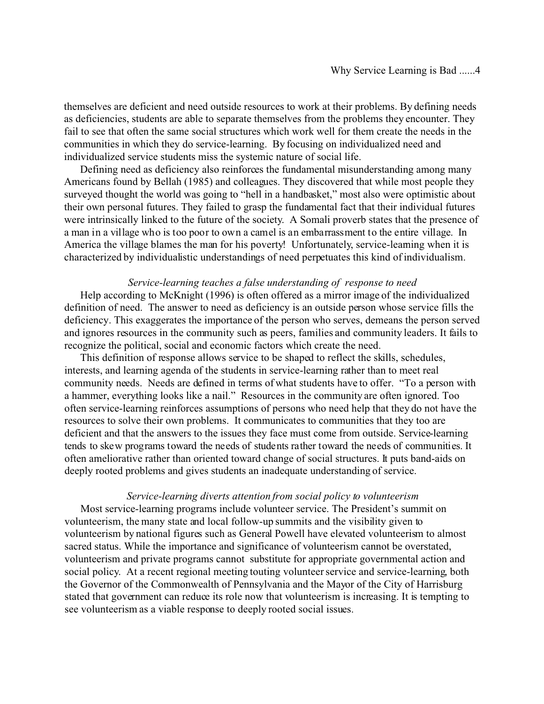themselves are deficient and need outside resources to work at their problems. By defining needs as deficiencies, students are able to separate themselves from the problems they encounter. They fail to see that often the same social structures which work well for them create the needs in the communities in which they do service-learning. By focusing on individualized need and individualized service students miss the systemic nature of social life.

Defining need as deficiency also reinforces the fundamental misunderstanding among many Americans found by Bellah (1985) and colleagues. They discovered that while most people they surveyed thought the world was going to "hell in a handbasket," most also were optimistic about their own personal futures. They failed to grasp the fundamental fact that their individual futures were intrinsically linked to the future of the society. A Somali proverb states that the presence of a man in a village who is too poor to own a camel is an embarrassment to the entire village. In America the village blames the man for his poverty! Unfortunately, service-learning when it is characterized by individualistic understandings of need perpetuates this kind of individualism.

#### *Service-learning teaches a false understanding of response to need*

Help according to McKnight (1996) is often offered as a mirror image of the individualized definition of need. The answer to need as deficiency is an outside person whose service fills the deficiency. This exaggerates the importance of the person who serves, demeans the person served and ignores resources in the community such as peers, families and community leaders. It fails to recognize the political, social and economic factors which create the need.

This definition of response allows service to be shaped to reflect the skills, schedules, interests, and learning agenda of the students in service-learning rather than to meet real community needs. Needs are defined in terms of what students have to offer. "To a person with a hammer, everything looks like a nail." Resources in the community are often ignored. Too often service-learning reinforces assumptions of persons who need help that they do not have the resources to solve their own problems. It communicates to communities that they too are deficient and that the answers to the issues they face must come from outside. Service-learning tends to skew programs toward the needs of students rather toward the needs of communities. It often ameliorative rather than oriented toward change of social structures. It puts band-aids on deeply rooted problems and gives students an inadequate understanding of service.

## *Service-learning diverts attention from social policy to volunteerism*

Most service-learning programs include volunteer service. The President's summit on volunteerism, the many state and local follow-up summits and the visibility given to volunteerism by national figures such as General Powell have elevated volunteerism to almost sacred status. While the importance and significance of volunteerism cannot be overstated, volunteerism and private programs cannot substitute for appropriate governmental action and social policy. At a recent regional meeting touting volunteer service and service-learning, both the Governor of the Commonwealth of Pennsylvania and the Mayor of the City of Harrisburg stated that government can reduce its role now that volunteerism is increasing. It is tempting to see volunteerism as a viable response to deeply rooted social issues.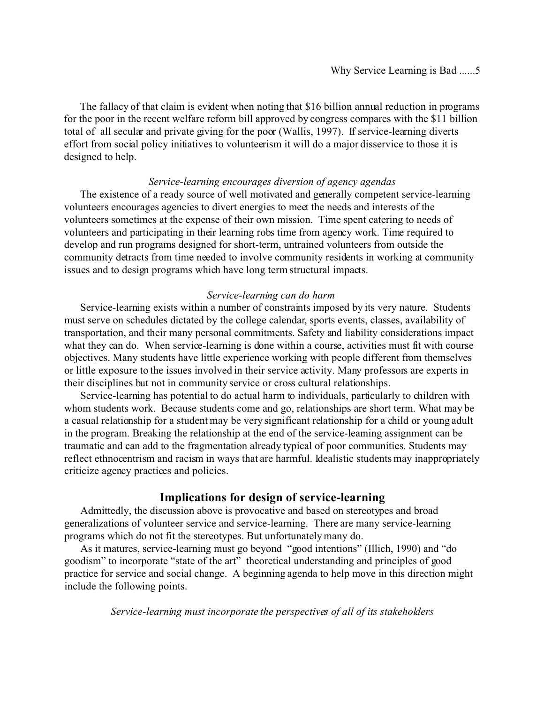The fallacy of that claim is evident when noting that \$16 billion annual reduction in programs for the poor in the recent welfare reform bill approved by congress compares with the \$11 billion total of all secular and private giving for the poor (Wallis, 1997). If service-learning diverts effort from social policy initiatives to volunteerism it will do a major disservice to those it is designed to help.

## *Service-learning encourages diversion of agency agendas*

The existence of a ready source of well motivated and generally competent service-learning volunteers encourages agencies to divert energies to meet the needs and interests of the volunteers sometimes at the expense of their own mission. Time spent catering to needs of volunteers and participating in their learning robs time from agency work. Time required to develop and run programs designed for short-term, untrained volunteers from outside the community detracts from time needed to involve community residents in working at community issues and to design programs which have long term structural impacts.

### *Service-learning can do harm*

Service-learning exists within a number of constraints imposed by its very nature. Students must serve on schedules dictated by the college calendar, sports events, classes, availability of transportation, and their many personal commitments. Safety and liability considerations impact what they can do. When service-learning is done within a course, activities must fit with course objectives. Many students have little experience working with people different from themselves or little exposure to the issues involved in their service activity. Many professors are experts in their disciplines but not in community service or cross cultural relationships.

Service-learning has potential to do actual harm to individuals, particularly to children with whom students work. Because students come and go, relationships are short term. What may be a casual relationship for a student may be very significant relationship for a child or young adult in the program. Breaking the relationship at the end of the service-learning assignment can be traumatic and can add to the fragmentation already typical of poor communities. Students may reflect ethnocentrism and racism in ways that are harmful. Idealistic students may inappropriately criticize agency practices and policies.

# **Implications for design of service-learning**

Admittedly, the discussion above is provocative and based on stereotypes and broad generalizations of volunteer service and service-learning. There are many service-learning programs which do not fit the stereotypes. But unfortunately many do.

As it matures, service-learning must go beyond "good intentions" (Illich, 1990) and "do goodism" to incorporate "state of the art" theoretical understanding and principles of good practice for service and social change. A beginning agenda to help move in this direction might include the following points.

*Service-learning must incorporate the perspectives of all of its stakeholders*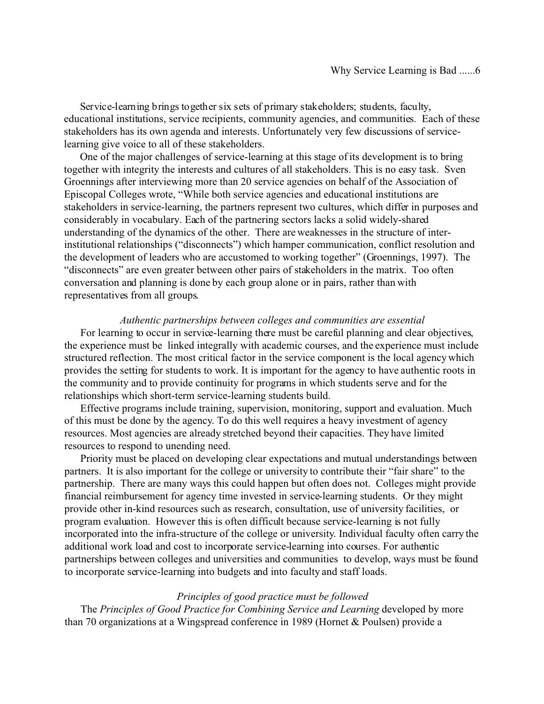Service-learning brings together six sets of primary stakeholders; students, faculty, educational institutions, service recipients, community agencies, and communities. Each of these stakeholders has its own agenda and interests. Unfortunately very few discussions of servicelearning give voice to all of these stakeholders.

One of the major challenges of service-learning at this stage of its development is to bring together with integrity the interests and cultures of all stakeholders. This is no easy task. Sven Groennings after interviewing more than 20 service agencies on behalf of the Association of Episcopal Colleges wrote, "While both service agencies and educational institutions are stakeholders in service-learning, the partners represent two cultures, which differ in purposes and considerably in vocabulary. Each of the partnering sectors lacks a solid widely-shared understanding of the dynamics of the other. There are weaknesses in the structure of interinstitutional relationships ("disconnects") which hamper communication, conflict resolution and the development of leaders who are accustomed to working together" (Groennings, 1997). The "disconnects" are even greater between other pairs of stakeholders in the matrix. Too often conversation and planning is done by each group alone or in pairs, rather than with representatives from all groups.

### *Authentic partnerships between colleges and communities are essential*

For learning to occur in service-learning there must be careful planning and clear objectives, the experience must be linked integrally with academic courses, and the experience must include structured reflection. The most critical factor in the service component is the local agency which provides the setting for students to work. It is important for the agency to have authentic roots in the community and to provide continuity for programs in which students serve and for the relationships which short-term service-learning students build.

Effective programs include training, supervision, monitoring, support and evaluation. Much of this must be done by the agency. To do this well requires a heavy investment of agency resources. Most agencies are already stretched beyond their capacities. They have limited resources to respond to unending need.

Priority must be placed on developing clear expectations and mutual understandings between partners. It is also important for the college or university to contribute their "fair share" to the partnership. There are many ways this could happen but often does not. Colleges might provide financial reimbursement for agency time invested in service-learning students. Or they might provide other in-kind resources such as research, consultation, use of university facilities, or program evaluation. However this is often difficult because service-learning is not fully incorporated into the infra-structure of the college or university. Individual faculty often carry the additional work load and cost to incorporate service-learning into courses. For authentic partnerships between colleges and universities and communities to develop, ways must be found to incorporate service-learning into budgets and into faculty and staff loads.

#### *Principles of good practice must be followed*

The *Principles of Good Practice for Combining Service and Learning* developed by more than 70 organizations at a Wingspread conference in 1989 (Hornet & Poulsen) provide a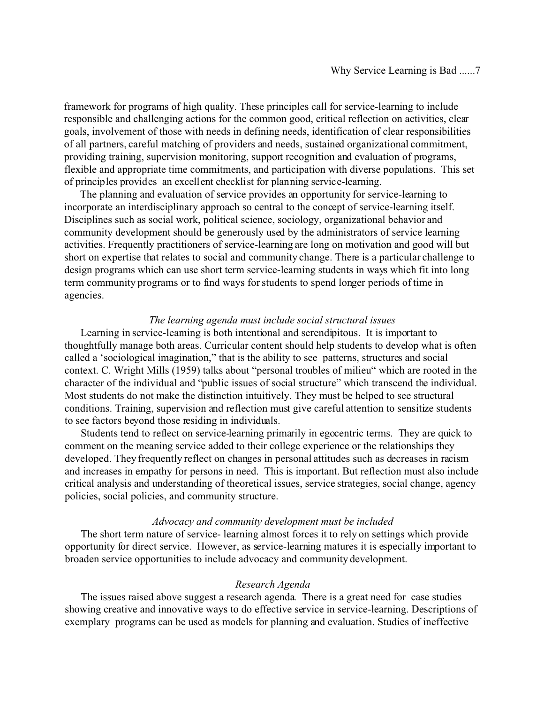framework for programs of high quality. These principles call for service-learning to include responsible and challenging actions for the common good, critical reflection on activities, clear goals, involvement of those with needs in defining needs, identification of clear responsibilities of all partners, careful matching of providers and needs, sustained organizational commitment, providing training, supervision monitoring, support recognition and evaluation of programs, flexible and appropriate time commitments, and participation with diverse populations. This set of principles provides an excellent checklist for planning service-learning.

The planning and evaluation of service provides an opportunity for service-learning to incorporate an interdisciplinary approach so central to the concept of service-learning itself. Disciplines such as social work, political science, sociology, organizational behavior and community development should be generously used by the administrators of service learning activities. Frequently practitioners of service-learning are long on motivation and good will but short on expertise that relates to social and community change. There is a particular challenge to design programs which can use short term service-learning students in ways which fit into long term community programs or to find ways for students to spend longer periods of time in agencies.

## *The learning agenda must include social structural issues*

Learning in service-learning is both intentional and serendipitous. It is important to thoughtfully manage both areas. Curricular content should help students to develop what is often called a 'sociological imagination," that is the ability to see patterns, structures and social context. C. Wright Mills (1959) talks about "personal troubles of milieu" which are rooted in the character of the individual and "public issues of social structure" which transcend the individual. Most students do not make the distinction intuitively. They must be helped to see structural conditions. Training, supervision and reflection must give careful attention to sensitize students to see factors beyond those residing in individuals.

Students tend to reflect on service-learning primarily in egocentric terms. They are quick to comment on the meaning service added to their college experience or the relationships they developed. They frequently reflect on changes in personal attitudes such as decreases in racism and increases in empathy for persons in need. This is important. But reflection must also include critical analysis and understanding of theoretical issues, service strategies, social change, agency policies, social policies, and community structure.

#### *Advocacy and community development must be included*

The short term nature of service- learning almost forces it to rely on settings which provide opportunity for direct service. However, as service-learning matures it is especially important to broaden service opportunities to include advocacy and community development.

## *Research Agenda*

The issues raised above suggest a research agenda. There is a great need for case studies showing creative and innovative ways to do effective service in service-learning. Descriptions of exemplary programs can be used as models for planning and evaluation. Studies of ineffective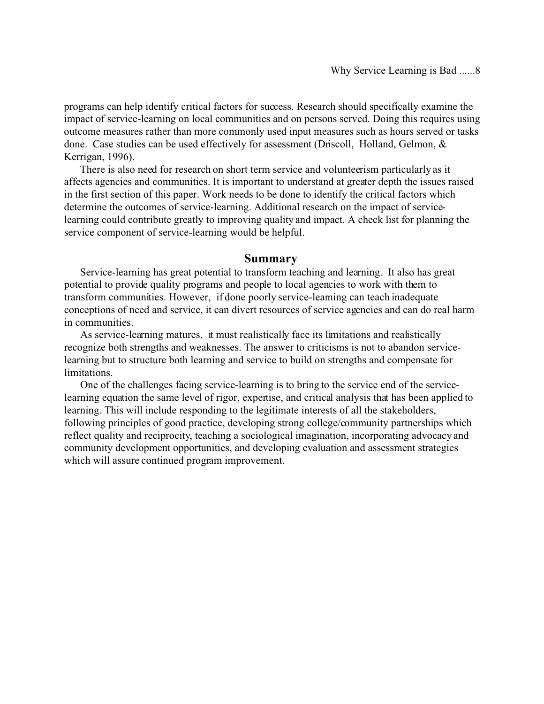programs can help identify critical factors for success. Research should specifically examine the impact of service-learning on local communities and on persons served. Doing this requires using outcome measures rather than more commonly used input measures such as hours served or tasks done. Case studies can be used effectively for assessment (Driscoll, Holland, Gelmon, & Kerrigan, 1996).

There is also need for research on short term service and volunteerism particularly as it affects agencies and communities. It is important to understand at greater depth the issues raised in the first section of this paper. Work needs to be done to identify the critical factors which determine the outcomes of service-learning. Additional research on the impact of servicelearning could contribute greatly to improving quality and impact. A check list for planning the service component of service-learning would be helpful.

## **Summary**

Service-learning has great potential to transform teaching and learning. It also has great potential to provide quality programs and people to local agencies to work with them to transform communities. However, if done poorly service-learning can teach inadequate conceptions of need and service, it can divert resources of service agencies and can do real harm in communities.

As service-learning matures, it must realistically face its limitations and realistically recognize both strengths and weaknesses. The answer to criticisms is not to abandon servicelearning but to structure both learning and service to build on strengths and compensate for limitations.

One of the challenges facing service-learning is to bring to the service end of the servicelearning equation the same level of rigor, expertise, and critical analysis that has been applied to learning. This will include responding to the legitimate interests of all the stakeholders, following principles of good practice, developing strong college/community partnerships which reflect quality and reciprocity, teaching a sociological imagination, incorporating advocacy and community development opportunities, and developing evaluation and assessment strategies which will assure continued program improvement.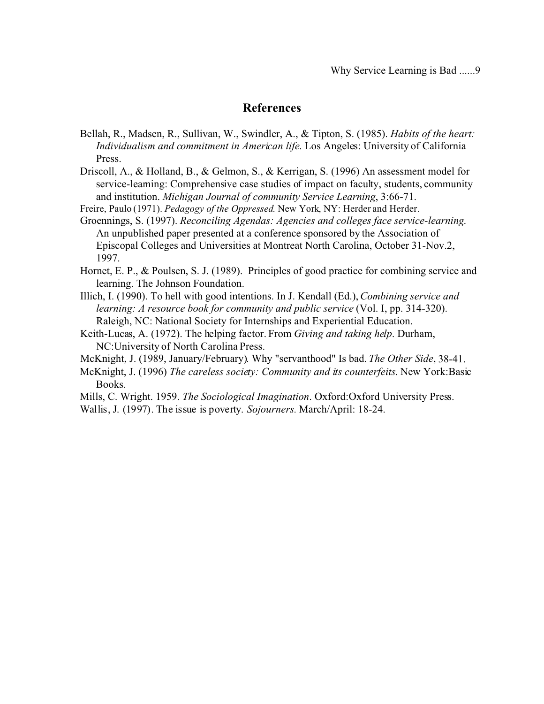# **References**

- Bellah, R., Madsen, R., Sullivan, W., Swindler, A., & Tipton, S. (1985). *Habits of the heart: Individualism and commitment in American life*. Los Angeles: University of California Press.
- Driscoll, A., & Holland, B., & Gelmon, S., & Kerrigan, S. (1996) An assessment model for service-learning: Comprehensive case studies of impact on faculty, students, community and institution. *Michigan Journal of community Service Learning*, 3:66-71.
- Freire, Paulo (1971). *Pedagogy of the Oppressed*. New York, NY: Herder and Herder.
- Groennings, S. (1997). *Reconciling Agendas: Agencies and colleges face service-learning*. An unpublished paper presented at a conference sponsored by the Association of Episcopal Colleges and Universities at Montreat North Carolina, October 31-Nov.2, 1997.
- Hornet, E. P., & Poulsen, S. J. (1989). Principles of good practice for combining service and learning. The Johnson Foundation.
- Illich, I. (1990). To hell with good intentions. In J. Kendall (Ed.), *Combining service and learning: A resource book for community and public service* (Vol. I, pp. 314-320). Raleigh, NC: National Society for Internships and Experiential Education.
- Keith-Lucas, A. (1972). The helping factor. From *Giving and taking help*. Durham, NC:University of North Carolina Press.
- McKnight, J. (1989, January/February). Why "servanthood" Is bad. *The Other Side*, 38-41.
- McKnight, J. (1996) *The careless society: Community and its counterfeits*. New York:Basic Books.
- Mills, C. Wright. 1959. *The Sociological Imagination*. Oxford:Oxford University Press.
- Wallis, J. (1997). The issue is poverty. *Sojourners.* March/April: 18-24.